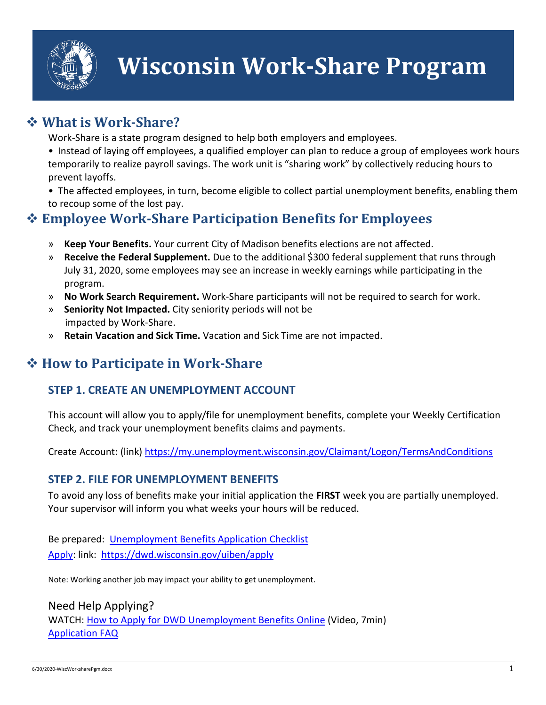

## **What is Work-Share?**

Work-Share is a state program designed to help both employers and employees.

• Instead of laying off employees, a qualified employer can plan to reduce a group of employees work hours temporarily to realize payroll savings. The work unit is "sharing work" by collectively reducing hours to prevent layoffs.

• The affected employees, in turn, become eligible to collect partial unemployment benefits, enabling them to recoup some of the lost pay.

## **Employee Work-Share Participation Benefits for Employees**

- » **Keep Your Benefits.** Your current City of Madison benefits elections are not affected.
- » **Receive the Federal Supplement.** Due to the additional \$300 federal supplement that runs through July 31, 2020, some employees may see an increase in weekly earnings while participating in the program.
- » **No Work Search Requirement.** Work-Share participants will not be required to search for work.
- » **Seniority Not Impacted.** City seniority periods will not be impacted by Work-Share.
- » **Retain Vacation and Sick Time.** Vacation and Sick Time are not impacted.

# **How to Participate in Work-Share**

### **STEP 1. CREATE AN UNEMPLOYMENT ACCOUNT**

This account will allow you to apply/file for unemployment benefits, complete your Weekly Certification Check, and track your unemployment benefits claims and payments.

Create Account: (link)<https://my.unemployment.wisconsin.gov/Claimant/Logon/TermsAndConditions>

### **STEP 2. FILE FOR UNEMPLOYMENT BENEFITS**

To avoid any loss of benefits make your initial application the **FIRST** week you are partially unemployed. Your supervisor will inform you what weeks your hours will be reduced.

Be prepared: [Unemployment Benefits Application Checklist](https://dwd.wisconsin.gov/uiben/information-needed.htm) [Apply:](https://dwd.wisconsin.gov/uiben/apply) link: <https://dwd.wisconsin.gov/uiben/apply>

Note: Working another job may impact your ability to get unemployment.

Need Help Applying? WATCH: [How to Apply for DWD Unemployment Benefits Online](https://media.wisconsin.gov/ui/ext/benefits/how_to_apply.htm) (Video, 7min) [Application FAQ](https://dwd.wisconsin.gov/uiben/faqs/apply.htm)